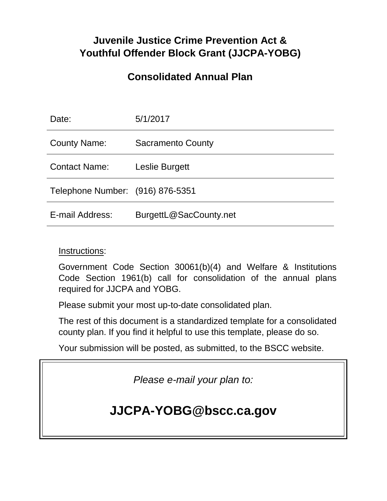# **Juvenile Justice Crime Prevention Act & Youthful Offender Block Grant (JJCPA-YOBG)**

# **Consolidated Annual Plan**

| Date:                            | 5/1/2017                 |
|----------------------------------|--------------------------|
| <b>County Name:</b>              | <b>Sacramento County</b> |
| <b>Contact Name:</b>             | Leslie Burgett           |
| Telephone Number: (916) 876-5351 |                          |
| E-mail Address:                  | BurgettL@SacCounty.net   |

# Instructions:

Government Code Section 30061(b)(4) and Welfare & Institutions Code Section 1961(b) call for consolidation of the annual plans required for JJCPA and YOBG.

Please submit your most up-to-date consolidated plan.

The rest of this document is a standardized template for a consolidated county plan. If you find it helpful to use this template, please do so.

Your submission will be posted, as submitted, to the BSCC website.

*Please e-mail your plan to:*

# **JJCPA-YOBG@bscc.ca.gov**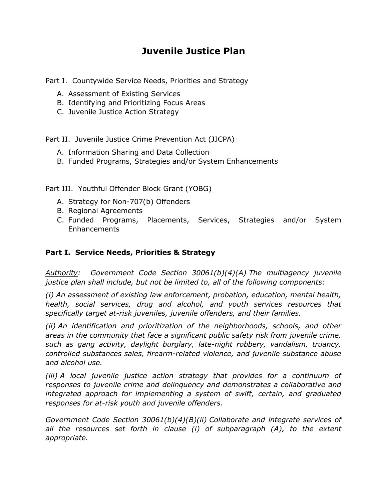# **Juvenile Justice Plan**

Part I. Countywide Service Needs, Priorities and Strategy

- A. Assessment of Existing Services
- B. Identifying and Prioritizing Focus Areas
- C. Juvenile Justice Action Strategy

Part II. Juvenile Justice Crime Prevention Act (JJCPA)

- A. Information Sharing and Data Collection
- B. Funded Programs, Strategies and/or System Enhancements

Part III. Youthful Offender Block Grant (YOBG)

- A. Strategy for Non-707(b) Offenders
- B. Regional Agreements
- C. Funded Programs, Placements, Services, Strategies and/or System Enhancements

#### **Part I. Service Needs, Priorities & Strategy**

*Authority: Government Code Section 30061(b)(4)(A) The multiagency juvenile justice plan shall include, but not be limited to, all of the following components:*

*(i) An assessment of existing law enforcement, probation, education, mental health, health, social services, drug and alcohol, and youth services resources that specifically target at-risk juveniles, juvenile offenders, and their families.*

*(ii) An identification and prioritization of the neighborhoods, schools, and other areas in the community that face a significant public safety risk from juvenile crime, such as gang activity, daylight burglary, late-night robbery, vandalism, truancy, controlled substances sales, firearm-related violence, and juvenile substance abuse and alcohol use.*

*(iii) A local juvenile justice action strategy that provides for a continuum of responses to juvenile crime and delinquency and demonstrates a collaborative and integrated approach for implementing a system of swift, certain, and graduated responses for at-risk youth and juvenile offenders.*

*Government Code Section 30061(b)(4)(B)(ii) Collaborate and integrate services of all the resources set forth in clause (i) of subparagraph (A), to the extent appropriate.*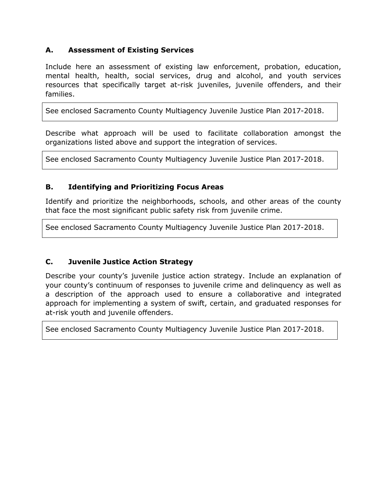### **A. Assessment of Existing Services**

Include here an assessment of existing law enforcement, probation, education, mental health, health, social services, drug and alcohol, and youth services resources that specifically target at-risk juveniles, juvenile offenders, and their families.

See enclosed Sacramento County Multiagency Juvenile Justice Plan 2017-2018.

Describe what approach will be used to facilitate collaboration amongst the organizations listed above and support the integration of services.

See enclosed Sacramento County Multiagency Juvenile Justice Plan 2017-2018.

#### **B. Identifying and Prioritizing Focus Areas**

Identify and prioritize the neighborhoods, schools, and other areas of the county that face the most significant public safety risk from juvenile crime.

See enclosed Sacramento County Multiagency Juvenile Justice Plan 2017-2018.

#### **C. Juvenile Justice Action Strategy**

Describe your county's juvenile justice action strategy. Include an explanation of your county's continuum of responses to juvenile crime and delinquency as well as a description of the approach used to ensure a collaborative and integrated approach for implementing a system of swift, certain, and graduated responses for at-risk youth and juvenile offenders.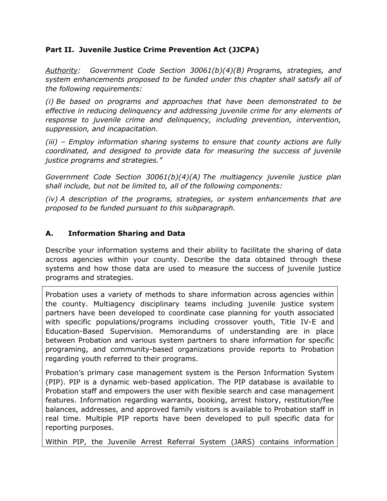## **Part II. Juvenile Justice Crime Prevention Act (JJCPA)**

*Authority: Government Code Section 30061(b)(4)(B) Programs, strategies, and system enhancements proposed to be funded under this chapter shall satisfy all of the following requirements:*

*(i) Be based on programs and approaches that have been demonstrated to be effective in reducing delinquency and addressing juvenile crime for any elements of response to juvenile crime and delinquency, including prevention, intervention, suppression, and incapacitation.*

*(iii) – Employ information sharing systems to ensure that county actions are fully coordinated, and designed to provide data for measuring the success of juvenile justice programs and strategies."*

*Government Code Section 30061(b)(4)(A) The multiagency juvenile justice plan shall include, but not be limited to, all of the following components:*

*(iv) A description of the programs, strategies, or system enhancements that are proposed to be funded pursuant to this subparagraph.*

## **A. Information Sharing and Data**

Describe your information systems and their ability to facilitate the sharing of data across agencies within your county. Describe the data obtained through these systems and how those data are used to measure the success of juvenile justice programs and strategies.

Probation uses a variety of methods to share information across agencies within the county. Multiagency disciplinary teams including juvenile justice system partners have been developed to coordinate case planning for youth associated with specific populations/programs including crossover youth, Title IV-E and Education-Based Supervision. Memorandums of understanding are in place between Probation and various system partners to share information for specific programing, and community-based organizations provide reports to Probation regarding youth referred to their programs.

Probation's primary case management system is the Person Information System (PIP). PIP is a dynamic web-based application. The PIP database is available to Probation staff and empowers the user with flexible search and case management features. Information regarding warrants, booking, arrest history, restitution/fee balances, addresses, and approved family visitors is available to Probation staff in real time. Multiple PIP reports have been developed to pull specific data for reporting purposes.

Within PIP, the Juvenile Arrest Referral System (JARS) contains information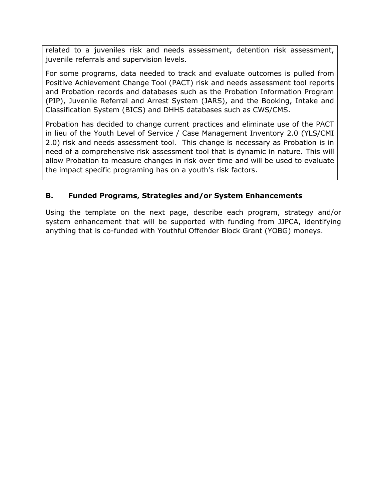related to a juveniles risk and needs assessment, detention risk assessment, juvenile referrals and supervision levels.

For some programs, data needed to track and evaluate outcomes is pulled from Positive Achievement Change Tool (PACT) risk and needs assessment tool reports and Probation records and databases such as the Probation Information Program (PIP), Juvenile Referral and Arrest System (JARS), and the Booking, Intake and Classification System (BICS) and DHHS databases such as CWS/CMS.

Probation has decided to change current practices and eliminate use of the PACT in lieu of the Youth Level of Service / Case Management Inventory 2.0 (YLS/CMI 2.0) risk and needs assessment tool. This change is necessary as Probation is in need of a comprehensive risk assessment tool that is dynamic in nature. This will allow Probation to measure changes in risk over time and will be used to evaluate the impact specific programing has on a youth's risk factors.

# **B. Funded Programs, Strategies and/or System Enhancements**

Using the template on the next page, describe each program, strategy and/or system enhancement that will be supported with funding from JJPCA, identifying anything that is co-funded with Youthful Offender Block Grant (YOBG) moneys.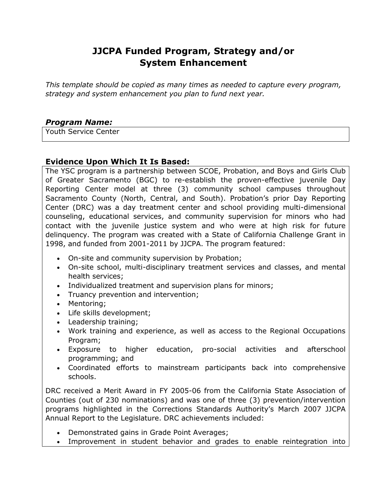# **JJCPA Funded Program, Strategy and/or System Enhancement**

*This template should be copied as many times as needed to capture every program, strategy and system enhancement you plan to fund next year.*

### *Program Name:*

Youth Service Center

#### **Evidence Upon Which It Is Based:**

The YSC program is a partnership between SCOE, Probation, and Boys and Girls Club of Greater Sacramento (BGC) to re-establish the proven-effective juvenile Day Reporting Center model at three (3) community school campuses throughout Sacramento County (North, Central, and South). Probation's prior Day Reporting Center (DRC) was a day treatment center and school providing multi-dimensional counseling, educational services, and community supervision for minors who had contact with the juvenile justice system and who were at high risk for future delinquency. The program was created with a State of California Challenge Grant in 1998, and funded from 2001-2011 by JJCPA. The program featured:

- On-site and community supervision by Probation;
- On-site school, multi-disciplinary treatment services and classes, and mental health services;
- Individualized treatment and supervision plans for minors;
- Truancy prevention and intervention;
- Mentoring:
- Life skills development;
- Leadership training;
- Work training and experience, as well as access to the Regional Occupations Program;
- Exposure to higher education, pro-social activities and afterschool programming; and
- Coordinated efforts to mainstream participants back into comprehensive schools.

DRC received a Merit Award in FY 2005-06 from the California State Association of Counties (out of 230 nominations) and was one of three (3) prevention/intervention programs highlighted in the Corrections Standards Authority's March 2007 JJCPA Annual Report to the Legislature. DRC achievements included:

- Demonstrated gains in Grade Point Averages;
- Improvement in student behavior and grades to enable reintegration into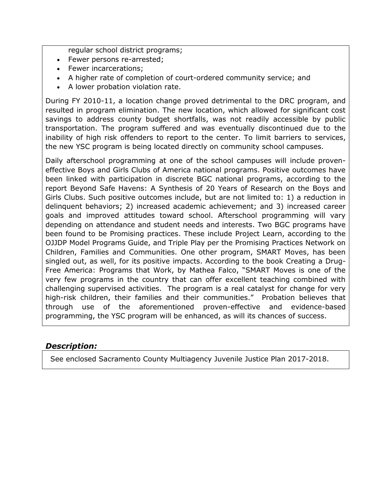regular school district programs;

- Fewer persons re-arrested;
- Fewer incarcerations:
- A higher rate of completion of court-ordered community service; and
- A lower probation violation rate.

During FY 2010-11, a location change proved detrimental to the DRC program, and resulted in program elimination. The new location, which allowed for significant cost savings to address county budget shortfalls, was not readily accessible by public transportation. The program suffered and was eventually discontinued due to the inability of high risk offenders to report to the center. To limit barriers to services, the new YSC program is being located directly on community school campuses.

Daily afterschool programming at one of the school campuses will include proveneffective Boys and Girls Clubs of America national programs. Positive outcomes have been linked with participation in discrete BGC national programs, according to the report Beyond Safe Havens: A Synthesis of 20 Years of Research on the Boys and Girls Clubs. Such positive outcomes include, but are not limited to: 1) a reduction in delinquent behaviors; 2) increased academic achievement; and 3) increased career goals and improved attitudes toward school. Afterschool programming will vary depending on attendance and student needs and interests. Two BGC programs have been found to be Promising practices. These include Project Learn, according to the OJJDP Model Programs Guide, and Triple Play per the Promising Practices Network on Children, Families and Communities. One other program, SMART Moves, has been singled out, as well, for its positive impacts. According to the book Creating a Drug-Free America: Programs that Work, by Mathea Falco, "SMART Moves is one of the very few programs in the country that can offer excellent teaching combined with challenging supervised activities. The program is a real catalyst for change for very high-risk children, their families and their communities." Probation believes that through use of the aforementioned proven-effective and evidence-based programming, the YSC program will be enhanced, as will its chances of success.

# *Description:*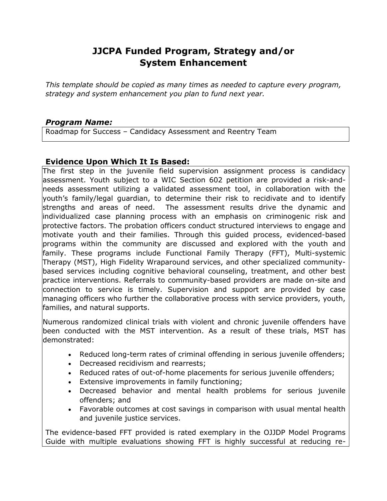# **JJCPA Funded Program, Strategy and/or System Enhancement**

*This template should be copied as many times as needed to capture every program, strategy and system enhancement you plan to fund next year.*

## *Program Name:*

Roadmap for Success – Candidacy Assessment and Reentry Team

## **Evidence Upon Which It Is Based:**

The first step in the juvenile field supervision assignment process is candidacy assessment. Youth subject to a WIC Section 602 petition are provided a risk-andneeds assessment utilizing a validated assessment tool, in collaboration with the youth's family/legal guardian, to determine their risk to recidivate and to identify strengths and areas of need. The assessment results drive the dynamic and individualized case planning process with an emphasis on criminogenic risk and protective factors. The probation officers conduct structured interviews to engage and motivate youth and their families. Through this guided process, evidenced-based programs within the community are discussed and explored with the youth and family. These programs include Functional Family Therapy (FFT), Multi-systemic Therapy (MST), High Fidelity Wraparound services, and other specialized communitybased services including cognitive behavioral counseling, treatment, and other best practice interventions. Referrals to community-based providers are made on-site and connection to service is timely. Supervision and support are provided by case managing officers who further the collaborative process with service providers, youth, families, and natural supports.

Numerous randomized clinical trials with violent and chronic juvenile offenders have been conducted with the MST intervention. As a result of these trials, MST has demonstrated:

- Reduced long-term rates of criminal offending in serious juvenile offenders;
- Decreased recidivism and rearrests;
- Reduced rates of out-of-home placements for serious juvenile offenders;
- Extensive improvements in family functioning;
- Decreased behavior and mental health problems for serious juvenile offenders; and
- Favorable outcomes at cost savings in comparison with usual mental health and juvenile justice services.

The evidence-based FFT provided is rated exemplary in the OJJDP Model Programs Guide with multiple evaluations showing FFT is highly successful at reducing re-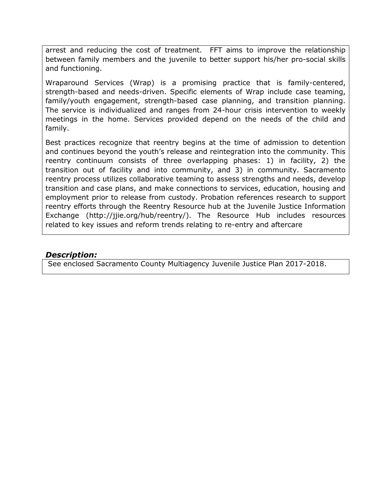arrest and reducing the cost of treatment. FFT aims to improve the relationship between family members and the juvenile to better support his/her pro-social skills and functioning.

Wraparound Services (Wrap) is a promising practice that is family-centered, strength-based and needs-driven. Specific elements of Wrap include case teaming, family/youth engagement, strength-based case planning, and transition planning. The service is individualized and ranges from 24-hour crisis intervention to weekly meetings in the home. Services provided depend on the needs of the child and family.

Best practices recognize that reentry begins at the time of admission to detention and continues beyond the youth's release and reintegration into the community. This reentry continuum consists of three overlapping phases: 1) in facility, 2) the transition out of facility and into community, and 3) in community. Sacramento reentry process utilizes collaborative teaming to assess strengths and needs, develop transition and case plans, and make connections to services, education, housing and employment prior to release from custody. Probation references research to support reentry efforts through the Reentry Resource hub at the Juvenile Justice Information Exchange [\(http://jjie.org/hub/reentry/\)](http://jjie.org/hub/reentry/). The Resource Hub includes resources related to key issues and reform trends relating to re-entry and aftercare

#### *Description:*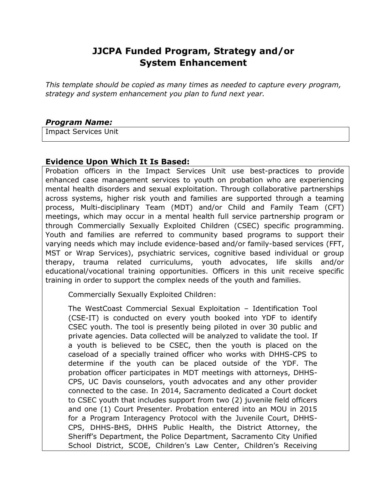# **JJCPA Funded Program, Strategy and/or System Enhancement**

*This template should be copied as many times as needed to capture every program, strategy and system enhancement you plan to fund next year.*

#### *Program Name:*

Impact Services Unit

#### **Evidence Upon Which It Is Based:**

Probation officers in the Impact Services Unit use best-practices to provide enhanced case management services to youth on probation who are experiencing mental health disorders and sexual exploitation. Through collaborative partnerships across systems, higher risk youth and families are supported through a teaming process, Multi-disciplinary Team (MDT) and/or Child and Family Team (CFT) meetings, which may occur in a mental health full service partnership program or through Commercially Sexually Exploited Children (CSEC) specific programming. Youth and families are referred to community based programs to support their varying needs which may include evidence-based and/or family-based services (FFT, MST or Wrap Services), psychiatric services, cognitive based individual or group therapy, trauma related curriculums, youth advocates, life skills and/or educational/vocational training opportunities. Officers in this unit receive specific training in order to support the complex needs of the youth and families.

Commercially Sexually Exploited Children:

The WestCoast Commercial Sexual Exploitation – Identification Tool (CSE-IT) is conducted on every youth booked into YDF to identify CSEC youth. The tool is presently being piloted in over 30 public and private agencies. Data collected will be analyzed to validate the tool. If a youth is believed to be CSEC, then the youth is placed on the caseload of a specially trained officer who works with DHHS-CPS to determine if the youth can be placed outside of the YDF. The probation officer participates in MDT meetings with attorneys, DHHS-CPS, UC Davis counselors, youth advocates and any other provider connected to the case. In 2014, Sacramento dedicated a Court docket to CSEC youth that includes support from two (2) juvenile field officers and one (1) Court Presenter. Probation entered into an MOU in 2015 for a Program Interagency Protocol with the Juvenile Court, DHHS-CPS, DHHS-BHS, DHHS Public Health, the District Attorney, the Sheriff's Department, the Police Department, Sacramento City Unified School District, SCOE, Children's Law Center, Children's Receiving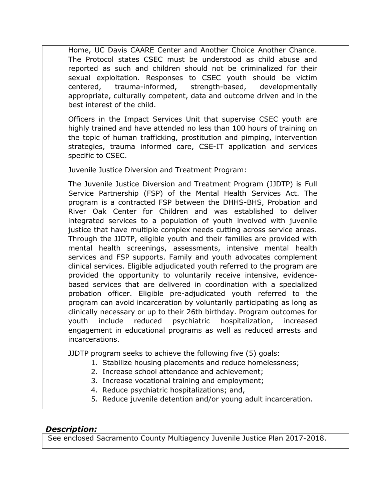Home, UC Davis CAARE Center and Another Choice Another Chance. The Protocol states CSEC must be understood as child abuse and reported as such and children should not be criminalized for their sexual exploitation. Responses to CSEC youth should be victim centered, trauma-informed, strength-based, developmentally appropriate, culturally competent, data and outcome driven and in the best interest of the child.

Officers in the Impact Services Unit that supervise CSEC youth are highly trained and have attended no less than 100 hours of training on the topic of human trafficking, prostitution and pimping, intervention strategies, trauma informed care, CSE-IT application and services specific to CSEC.

Juvenile Justice Diversion and Treatment Program:

The Juvenile Justice Diversion and Treatment Program (JJDTP) is Full Service Partnership (FSP) of the Mental Health Services Act. The program is a contracted FSP between the DHHS-BHS, Probation and River Oak Center for Children and was established to deliver integrated services to a population of youth involved with juvenile justice that have multiple complex needs cutting across service areas. Through the JJDTP, eligible youth and their families are provided with mental health screenings, assessments, intensive mental health services and FSP supports. Family and youth advocates complement clinical services. Eligible adjudicated youth referred to the program are provided the opportunity to voluntarily receive intensive, evidencebased services that are delivered in coordination with a specialized probation officer. Eligible pre-adjudicated youth referred to the program can avoid incarceration by voluntarily participating as long as clinically necessary or up to their 26th birthday. Program outcomes for youth include reduced psychiatric hospitalization, increased engagement in educational programs as well as reduced arrests and incarcerations.

JJDTP program seeks to achieve the following five (5) goals:

- 1. Stabilize housing placements and reduce homelessness;
- 2. Increase school attendance and achievement;
- 3. Increase vocational training and employment;
- 4. Reduce psychiatric hospitalizations; and,
- 5. Reduce juvenile detention and/or young adult incarceration.

## *Description:*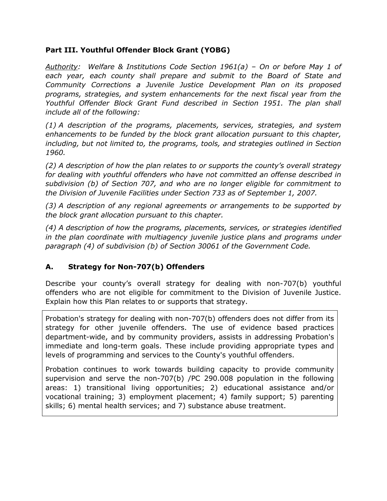#### **Part III. Youthful Offender Block Grant (YOBG)**

*Authority: Welfare & Institutions Code Section 1961(a) – On or before May 1 of*  each year, each county shall prepare and submit to the Board of State and *Community Corrections a Juvenile Justice Development Plan on its proposed programs, strategies, and system enhancements for the next fiscal year from the Youthful Offender Block Grant Fund described in Section 1951. The plan shall include all of the following:*

*(1) A description of the programs, placements, services, strategies, and system enhancements to be funded by the block grant allocation pursuant to this chapter,*  including, but not limited to, the programs, tools, and strategies outlined in Section *1960.*

*(2) A description of how the plan relates to or supports the county's overall strategy for dealing with youthful offenders who have not committed an offense described in subdivision (b) of Section 707, and who are no longer eligible for commitment to the Division of Juvenile Facilities under Section 733 as of September 1, 2007.*

*(3) A description of any regional agreements or arrangements to be supported by the block grant allocation pursuant to this chapter.*

*(4) A description of how the programs, placements, services, or strategies identified in the plan coordinate with multiagency juvenile justice plans and programs under paragraph (4) of subdivision (b) of Section 30061 of the Government Code.*

## **A. Strategy for Non-707(b) Offenders**

Describe your county's overall strategy for dealing with non-707(b) youthful offenders who are not eligible for commitment to the Division of Juvenile Justice. Explain how this Plan relates to or supports that strategy.

Probation's strategy for dealing with non-707(b) offenders does not differ from its strategy for other juvenile offenders. The use of evidence based practices department-wide, and by community providers, assists in addressing Probation's immediate and long-term goals. These include providing appropriate types and levels of programming and services to the County's youthful offenders.

Probation continues to work towards building capacity to provide community supervision and serve the non-707(b) /PC 290.008 population in the following areas: 1) transitional living opportunities; 2) educational assistance and/or vocational training; 3) employment placement; 4) family support; 5) parenting skills; 6) mental health services; and 7) substance abuse treatment.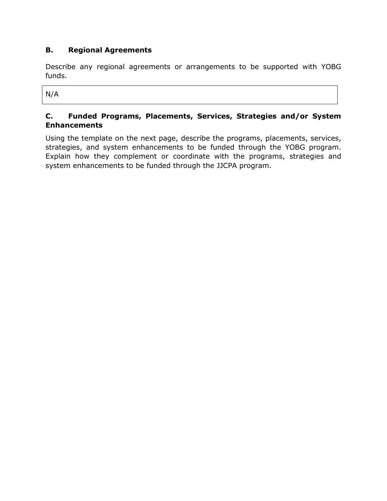# **B. Regional Agreements**

Describe any regional agreements or arrangements to be supported with YOBG funds.

N/A

## **C. Funded Programs, Placements, Services, Strategies and/or System Enhancements**

Using the template on the next page, describe the programs, placements, services, strategies, and system enhancements to be funded through the YOBG program. Explain how they complement or coordinate with the programs, strategies and system enhancements to be funded through the JJCPA program.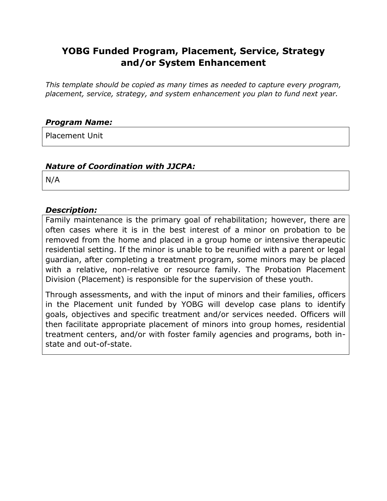# **YOBG Funded Program, Placement, Service, Strategy and/or System Enhancement**

*This template should be copied as many times as needed to capture every program, placement, service, strategy, and system enhancement you plan to fund next year.*

# *Program Name:*

Placement Unit

## *Nature of Coordination with JJCPA:*

N/A

## *Description:*

Family maintenance is the primary goal of rehabilitation; however, there are often cases where it is in the best interest of a minor on probation to be removed from the home and placed in a group home or intensive therapeutic residential setting. If the minor is unable to be reunified with a parent or legal guardian, after completing a treatment program, some minors may be placed with a relative, non-relative or resource family. The Probation Placement Division (Placement) is responsible for the supervision of these youth.

Through assessments, and with the input of minors and their families, officers in the Placement unit funded by YOBG will develop case plans to identify goals, objectives and specific treatment and/or services needed. Officers will then facilitate appropriate placement of minors into group homes, residential treatment centers, and/or with foster family agencies and programs, both instate and out-of-state.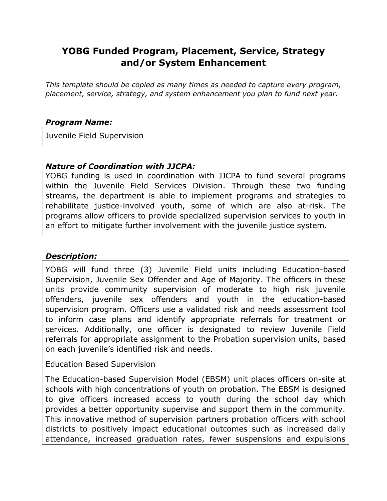# **YOBG Funded Program, Placement, Service, Strategy and/or System Enhancement**

*This template should be copied as many times as needed to capture every program, placement, service, strategy, and system enhancement you plan to fund next year.*

# *Program Name:*

Juvenile Field Supervision

# *Nature of Coordination with JJCPA:*

YOBG funding is used in coordination with JJCPA to fund several programs within the Juvenile Field Services Division. Through these two funding streams, the department is able to implement programs and strategies to rehabilitate justice-involved youth, some of which are also at-risk. The programs allow officers to provide specialized supervision services to youth in an effort to mitigate further involvement with the juvenile justice system.

## *Description:*

YOBG will fund three (3) Juvenile Field units including Education-based Supervision, Juvenile Sex Offender and Age of Majority. The officers in these units provide community supervision of moderate to high risk juvenile offenders, juvenile sex offenders and youth in the education-based supervision program. Officers use a validated risk and needs assessment tool to inform case plans and identify appropriate referrals for treatment or services. Additionally, one officer is designated to review Juvenile Field referrals for appropriate assignment to the Probation supervision units, based on each juvenile's identified risk and needs.

Education Based Supervision

The Education-based Supervision Model (EBSM) unit places officers on-site at schools with high concentrations of youth on probation. The EBSM is designed to give officers increased access to youth during the school day which provides a better opportunity supervise and support them in the community. This innovative method of supervision partners probation officers with school districts to positively impact educational outcomes such as increased daily attendance, increased graduation rates, fewer suspensions and expulsions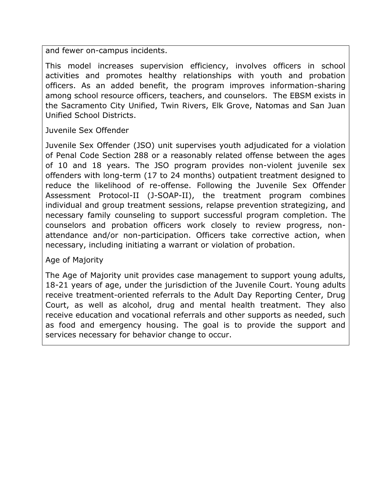and fewer on-campus incidents.

This model increases supervision efficiency, involves officers in school activities and promotes healthy relationships with youth and probation officers. As an added benefit, the program improves information-sharing among school resource officers, teachers, and counselors. The EBSM exists in the Sacramento City Unified, Twin Rivers, Elk Grove, Natomas and San Juan Unified School Districts.

Juvenile Sex Offender

Juvenile Sex Offender (JSO) unit supervises youth adjudicated for a violation of Penal Code Section 288 or a reasonably related offense between the ages of 10 and 18 years. The JSO program provides non-violent juvenile sex offenders with long-term (17 to 24 months) outpatient treatment designed to reduce the likelihood of re-offense. Following the Juvenile Sex Offender Assessment Protocol-II (J-SOAP-II), the treatment program combines individual and group treatment sessions, relapse prevention strategizing, and necessary family counseling to support successful program completion. The counselors and probation officers work closely to review progress, nonattendance and/or non-participation. Officers take corrective action, when necessary, including initiating a warrant or violation of probation.

Age of Majority

The Age of Majority unit provides case management to support young adults, 18-21 years of age, under the jurisdiction of the Juvenile Court. Young adults receive treatment-oriented referrals to the Adult Day Reporting Center, Drug Court, as well as alcohol, drug and mental health treatment. They also receive education and vocational referrals and other supports as needed, such as food and emergency housing. The goal is to provide the support and services necessary for behavior change to occur.